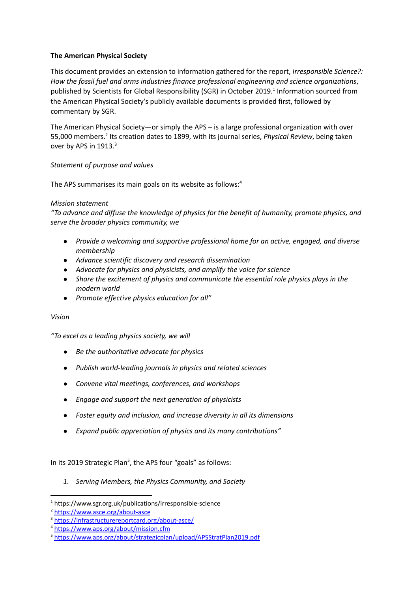# **The American Physical Society**

This document provides an extension to information gathered for the report, *Irresponsible Science?: How the fossil fuel and arms industries finance professional engineering and science organizations*, published by Scientists for Global Responsibility (SGR) in October 2019. 1 Information sourced from the American Physical Society's publicly available documents is provided first, followed by commentary by SGR.

The American Physical Society—or simply the APS – is a large professional organization with over 55,000 members.<sup>2</sup> Its creation dates to 1899, with its journal series, *Physical Review*, being taken over by APS in 1913.<sup>3</sup>

# *Statement of purpose and values*

The APS summarises its main goals on its website as follows:<sup>4</sup>

### *Mission statement*

*"To advance and diffuse the knowledge of physics for the benefit of humanity, promote physics, and serve the broader physics community, we*

- *● Provide a welcoming and supportive professional home for an active, engaged, and diverse membership*
- *● Advance scientific discovery and research dissemination*
- *● Advocate for physics and physicists, and amplify the voice for science*
- *● Share the excitement of physics and communicate the essential role physics plays in the modern world*
- *● Promote effective physics education for all"*

### *Vision*

*"To excel as a leading physics society, we will*

- *● Be the authoritative advocate for physics*
- *● Publish world-leading journals in physics and related sciences*
- *● Convene vital meetings, conferences, and workshops*
- *● Engage and support the next generation of physicists*
- *● Foster equity and inclusion, and increase diversity in all its dimensions*
- *● Expand public appreciation of physics and its many contributions"*

In its 2019 Strategic Plan<sup>5</sup>, the APS four "goals" as follows:

*1. Serving Members, the Physics Community, and Society*

<sup>1</sup> <https://www.sgr.org.uk/publications/irresponsible-science>

<sup>2</sup> <https://www.asce.org/about-asce>

<sup>3</sup> <https://infrastructurereportcard.org/about-asce/>

<sup>4</sup> <https://www.aps.org/about/mission.cfm>

<sup>5</sup> <https://www.aps.org/about/strategicplan/upload/APSStratPlan2019.pdf>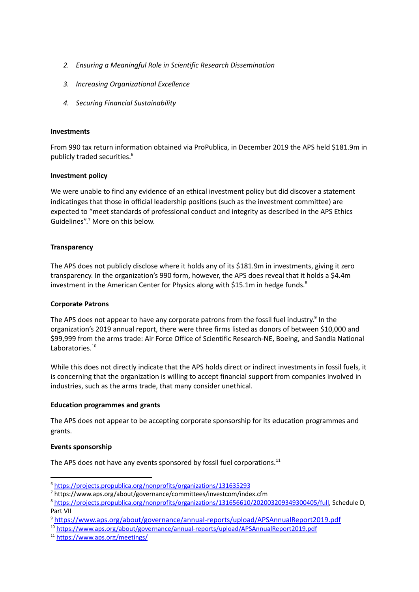- *2. Ensuring a Meaningful Role in Scientific Research Dissemination*
- *3. Increasing Organizational Excellence*
- *4. Securing Financial Sustainability*

#### **Investments**

From 990 tax return information obtained via ProPublica, in December 2019 the APS held \$181.9m in publicly traded securities. 6

#### **Investment policy**

We were unable to find any evidence of an ethical investment policy but did discover a statement indicatinges that those in official leadership positions (such as the investment committee) are expected to "meet standards of professional conduct and integrity as described in the APS Ethics Guidelines".<sup>7</sup> More on this below.

### **Transparency**

The APS does not publicly disclose where it holds any of its \$181.9m in investments, giving it zero transparency. In the organization's 990 form, however, the APS does reveal that it holds a \$4.4m investment in the American Center for Physics along with \$15.1m in hedge funds.<sup>8</sup>

### **Corporate Patrons**

The APS does not appear to have any corporate patrons from the fossil fuel industry.<sup>9</sup> In the organization's 2019 annual report, there were three firms listed as donors of between \$10,000 and \$99,999 from the arms trade: Air Force Office of Scientific Research-NE, Boeing, and Sandia National Laboratories.<sup>10</sup>

While this does not directly indicate that the APS holds direct or indirect investments in fossil fuels, it is concerning that the organization is willing to accept financial support from companies involved in industries, such as the arms trade, that many consider unethical.

### **Education programmes and grants**

The APS does not appear to be accepting corporate sponsorship for its education programmes and grants.

### **Events sponsorship**

The APS does not have any events sponsored by fossil fuel corporations. $^{11}$ 

<sup>6</sup> <https://projects.propublica.org/nonprofits/organizations/131635293>

<sup>7</sup> https://www.aps.org/about/governance/committees/investcom/index.cfm

<sup>8</sup> <https://projects.propublica.org/nonprofits/organizations/131656610/202003209349300405/full>, Schedule D, Part VII

<sup>9</sup> <https://www.aps.org/about/governance/annual-reports/upload/APSAnnualReport2019.pdf>

<sup>10</sup> <https://www.aps.org/about/governance/annual-reports/upload/APSAnnualReport2019.pdf>

<sup>11</sup> <https://www.aps.org/meetings/>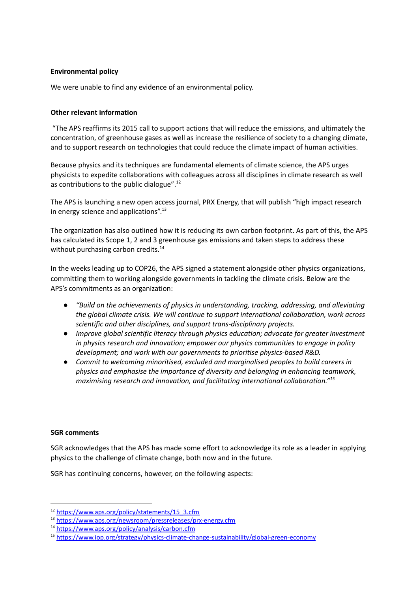# **Environmental policy**

We were unable to find any evidence of an environmental policy.

### **Other relevant information**

"The APS reaffirms its 2015 call to support actions that will reduce the emissions, and ultimately the concentration, of greenhouse gases as well as increase the resilience of society to a changing climate, and to support research on technologies that could reduce the climate impact of human activities.

Because physics and its techniques are fundamental elements of climate science, the APS urges physicists to expedite collaborations with colleagues across all disciplines in climate research as well as contributions to the public dialogue".<sup>12</sup>

The APS is launching a new open access journal, PRX Energy, that will publish "high impact research in energy science and applications".<sup>13</sup>

The organization has also outlined how it is reducing its own carbon footprint. As part of this, the APS has calculated its Scope 1, 2 and 3 greenhouse gas emissions and taken steps to address these without purchasing carbon credits.<sup>14</sup>

In the weeks leading up to COP26, the APS signed a statement alongside other physics organizations, committing them to working alongside governments in tackling the climate crisis. Below are the APS's commitments as an organization:

- *● "Build on the achievements of physics in understanding, tracking, addressing, and alleviating the global climate crisis. We will continue to support international collaboration, work across scientific and other disciplines, and support trans-disciplinary projects.*
- *● Improve global scientific literacy through physics education; advocate for greater investment in physics research and innovation; empower our physics communities to engage in policy development; and work with our governments to prioritise physics-based R&D.*
- *● Commit to welcoming minoritised, excluded and marginalised peoples to build careers in physics and emphasise the importance of diversity and belonging in enhancing teamwork, maximising research and innovation, and facilitating international collaboration." 15*

### **SGR comments**

SGR acknowledges that the APS has made some effort to acknowledge its role as a leader in applying physics to the challenge of climate change, both now and in the future.

SGR has continuing concerns, however, on the following aspects:

<sup>12</sup> [https://www.aps.org/policy/statements/15\\_3.cfm](https://www.aps.org/policy/statements/15_3.cfm)

<sup>13</sup> <https://www.aps.org/newsroom/pressreleases/prx-energy.cfm>

<sup>14</sup> <https://www.aps.org/policy/analysis/carbon.cfm>

<sup>15</sup> <https://www.iop.org/strategy/physics-climate-change-sustainability/global-green-economy>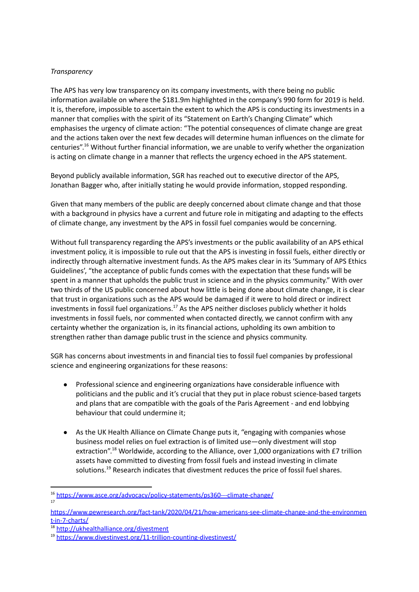# *Transparency*

The APS has very low transparency on its company investments, with there being no public information available on where the \$181.9m highlighted in the company's 990 form for 2019 is held. It is, therefore, impossible to ascertain the extent to which the APS is conducting its investments in a manner that complies with the spirit of its "Statement on Earth's Changing Climate" which emphasises the urgency of climate action: "The potential consequences of climate change are great and the actions taken over the next few decades will determine human influences on the climate for centuries".<sup>16</sup> Without further financial information, we are unable to verify whether the organization is acting on climate change in a manner that reflects the urgency echoed in the APS statement.

Beyond publicly available information, SGR has reached out to executive director of the APS, Jonathan Bagger who, after initially stating he would provide information, stopped responding.

Given that many members of the public are deeply concerned about climate change and that those with a background in physics have a current and future role in mitigating and adapting to the effects of climate change, any investment by the APS in fossil fuel companies would be concerning.

Without full transparency regarding the APS's investments or the public availability of an APS ethical investment policy, it is impossible to rule out that the APS is investing in fossil fuels, either directly or indirectly through alternative investment funds. As the APS makes clear in its 'Summary of APS Ethics Guidelines', "the acceptance of public funds comes with the expectation that these funds will be spent in a manner that upholds the public trust in science and in the physics community." With over two thirds of the US public concerned about how little is being done about climate change, it is clear that trust in organizations such as the APS would be damaged if it were to hold direct or indirect investments in fossil fuel organizations.<sup>17</sup> As the APS neither discloses publicly whether it holds investments in fossil fuels, nor commented when contacted directly, we cannot confirm with any certainty whether the organization is, in its financial actions, upholding its own ambition to strengthen rather than damage public trust in the science and physics community.

SGR has concerns about investments in and financial ties to fossil fuel companies by professional science and engineering organizations for these reasons:

- Professional science and engineering organizations have considerable influence with politicians and the public and it's crucial that they put in place robust science-based targets and plans that are compatible with the goals of the Paris Agreement - and end lobbying behaviour that could undermine it;
- As the UK Health Alliance on Climate Change puts it, "engaging with companies whose business model relies on fuel extraction is of limited use—only divestment will stop extraction".<sup>18</sup> Worldwide, according to the Alliance, over 1,000 organizations with £7 trillion assets have committed to divesting from fossil fuels and instead investing in climate solutions.<sup>19</sup> Research indicates that divestment reduces the price of fossil fuel shares.

17

<sup>16</sup> <https://www.asce.org/advocacy/policy-statements/ps360---climate-change/>

[https://www.pewresearch.org/fact-tank/2020/04/21/how-americans-see-climate-change-and-the-environmen](https://www.pewresearch.org/fact-tank/2020/04/21/how-americans-see-climate-change-and-the-environment-in-7-charts/) [t-in-7-charts/](https://www.pewresearch.org/fact-tank/2020/04/21/how-americans-see-climate-change-and-the-environment-in-7-charts/)

<sup>18</sup> <http://ukhealthalliance.org/divestment>

<sup>19</sup> <https://www.divestinvest.org/11-trillion-counting-divestinvest/>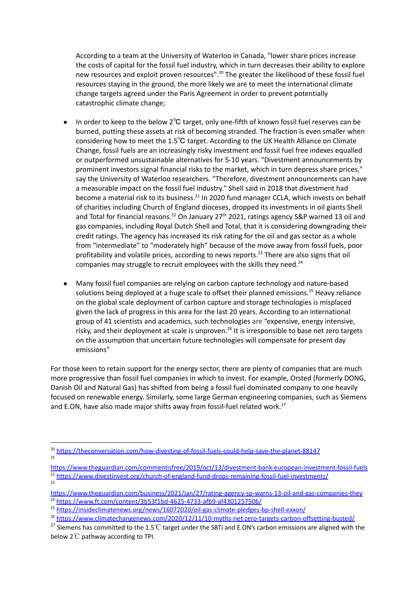According to a team at the University of Waterloo in Canada, "lower share prices increase the costs of capital for the fossil fuel industry, which in turn decreases their ability to explore new resources and exploit proven resources".<sup>20</sup> The greater the likelihood of these fossil fuel resources staying in the ground, the more likely we are to meet the international climate change targets agreed under the Paris Agreement in order to prevent potentially catastrophic climate change;

- In order to keep to the below 2℃ target, only one-fifth of known fossil fuel reserves can be burned, putting these assets at risk of becoming stranded. The fraction is even smaller when considering how to meet the 1.5℃ target. According to the UK Health [Alliance](http://ukhealthalliance.org/divestment) on Climate [Change](http://ukhealthalliance.org/divestment), fossil fuels are an increasingly risky investment and fossil fuel free indexes equalled or outperformed unsustainable alternatives for 5-10 years. "Divestment announcements by prominent investors signal financial risks to the market, which in turn depress share prices," say the University of Waterloo researchers. "Therefore, divestment announcements can have a measurable impact on the fossil fuel industry." Shell said in 2018 that divestment had become a material risk to its business.<sup>21</sup> In 2020 fund manager CCLA, which invests on behalf of charities including Church of England dioceses, dropped its investments in oil giants Shell and Total for financial reasons.<sup>22</sup> On January 27<sup>th</sup> 2021, ratings agency S&P warned 13 oil and gas companies, including Royal Dutch Shell and Total, that it is considering downgrading their credit ratings. The agency has increased its risk rating for the oil and gas sector as a whole from "intermediate" to "moderately high" because of the move away from fossil fuels, poor profitability and volatile prices, according to news reports.<sup>23</sup> There are also signs that oil companies may struggle to recruit employees with the skills they need.<sup>24</sup>
- Many fossil fuel companies are relying on carbon capture technology and nature-based solutions being deployed at a huge scale to offset their planned emissions.<sup>25</sup> Heavy reliance on the global scale deployment of carbon capture and storage technologies is misplaced given the lack of progress in this area for the last 20 years. According to an international group of 41 scientists and academics, such technologies are "expensive, energy intensive, risky, and their deployment at scale is unproven.<sup>26</sup> It is irresponsible to base net zero targets on the assumption that uncertain future technologies will compensate for present day emissions"

For those keen to retain support for the energy sector, there are plenty of companies that are much more progressive than fossil fuel companies in which to invest. For example, Orsted (formerly DONG, Danish Oil and Natural Gas) has shifted from being a fossil fuel dominated company to one heavily focused on renewable energy. Similarly, some large German engineering companies, such as Siemens and E.ON, have also made major shifts away from fossil-fuel related work.<sup>27</sup>

 $2<sup>2</sup>$ <sup>22</sup> <https://www.divestinvest.org/church-of-england-fund-drops-remaining-fossil-fuel-investments/> <https://www.theguardian.com/commentisfree/2019/oct/13/divestment-bank-european-investment-fossil-fuels>

 $21$ <sup>20</sup> <https://theconversation.com/how-divesting-of-fossil-fuels-could-help-save-the-planet-88147>

<sup>24</sup> <https://www.ft.com/content/3b53f1bd-4625-4733-afb9-af4301257506/> <https://www.theguardian.com/business/2021/jan/27/rating-agency-sp-warns-13-oil-and-gas-companies-they>

<sup>&</sup>lt;sup>25</sup> <https://insideclimatenews.org/news/16072020/oil-gas-climate-pledges-bp-shell-exxon/>

<sup>&</sup>lt;sup>26</sup> <https://www.climatechangenews.com/2020/12/11/10-myths-net-zero-targets-carbon-offsetting-busted/>

<sup>&</sup>lt;sup>27</sup> Siemens has committed to the 1.5°C target under the SBTi and E.ON's carbon emissions are aligned with the below 2℃ pathway according to TPI.